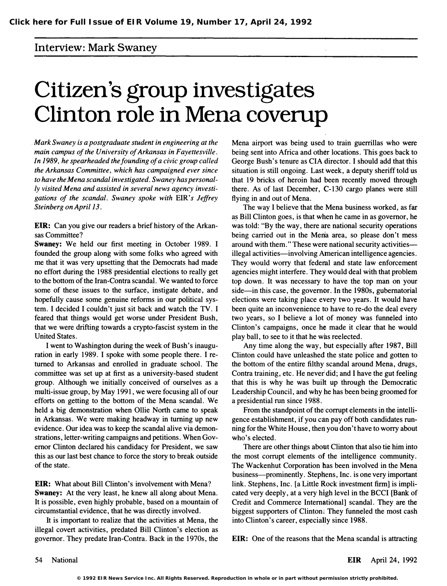## Interview: Mark Swaney

## Citizen's group investigates Clinton role in Mena coverup

. Mark Swaney is a postgraduate student in engineering at the main campus of the University of Arkansas in Fayettesville. In 1989, he spearheaded the founding of a civic group called the Arkansas Committee, which has campaigned ever since to have the Mena scandal investigated. Swaney has personally visited Mena and assisted in several news agency investigations of the scandal. Swaney spoke with EIR's Jeffrey Steinberg on April 13.

ElK: Can you give our readers a brief history of the Arkansas Committee?

Swaney: We held our first meeting in October 1989. I founded the group along with some folks who agreed with me that it was very upsetting that the Democrats had made no effort during the 1988 presidential elections to really get to the bottom of the Iran-Contra scandal. We wanted to force some of these issues to the surface, instigate debate, and hopefully cause some genuine reforms in our political system. I decided I couldn't just sit back and watch the TV. I feared that things would get worse under President Bush, that we were drifting towards a crypto-fascist system in the United States.

I went to Washington during the week of Bush's inauguration in early 1989. I spoke with some people there. I returned to Arkansas and enrolled in graduate school. The committee was set up at first as a university-based student group. Although we initially conceived of ourselves as a multi-issue group, by May 1991, we were focusing all of our efforts on getting to the bottom of the Mena scandal. We held a big demonstration when Ollie North came to speak in Arkansas. We were making headway in turning up new evidence. Our idea was to keep the scandal alive via demonstrations, letter-writing campaigns and petitions. When Governor Clinton declared his candidacy for President, we saw this as our last best chance to force the story to break outside of the state.

**EIR:** What about Bill Clinton's involvement with Mena? Swaney: At the very least, he knew all along about Mena. It is possible, even highly probable, based on a mountain of circumstantial evidence, that he was directly involved.

It is important to realize that the activities at Mena, the illegal covert activities, predated Bill Clinton's election as governor. They predate Iran-Contra. Back in the 1970s, the

Mena airport was being used to train guerrillas who were being sent into Africa and other locations. This goes back to George Bush's tenure as CIA director. I should add that this situation is still ongoing. Last week, a deputy sheriff told us that 19 bricks of heroin had been recently moved through there. As of last December, C-130 cargo planes were still flying in and out of Mena.

The way I believe that the Mena business worked, as far as Bill Clinton goes, is that when he came in as governor, he was told: "By the way, there are national security operations being carried out in the Mena area, so please don't mess around with them." These were national security activitiesillegal activities—involving American intelligence agencies. They would worry that federal and state law enforcement agencies might interfere. They would deal with that problem top down. It was necessary to have the top man on your side—in this case, the governor. In the 1980s, gubernatorial elections were taking place every two years. It would have been quite an inconvenience to have to re-do the deal every two years, so I believe a lot of money was funneled into Clinton's campaigns, once he made it clear that he would play ball, to see to it that he was reelected.

Any time along the way, but especially after 1987, Bill Clinton could have unleashed the state police and gotten to the bottom of the entire filthy scandal around Mena, drugs, Contra training, etc. He never did; and I have the gut feeling that this is why he was built up through the Democratic Leadership Council, and why he has been being groomed for a presidential run since 1988.

From the standpoint of the corrupt elements in the intelligence establishment, if you can pay off both candidates running for the White House, then you don't have to worry about who's elected.

There are other things about Clinton that also tie him into the most corrupt elements of the intelligence community. The Wackenhut Corporation bas been involved in the Mena business—prominently. Stephens, Inc. is one very important link. Stephens, Inc. [a Little Rock investment firm] is implicated very deeply, at a very high level in the BCCI [Bank of Credit and Commerce International] scandal. They are the biggest supporters of Clinton. They funneled the most cash into Clinton's career, especially since 1988.

EIR: One of the reasons that the Mena scandal is attracting